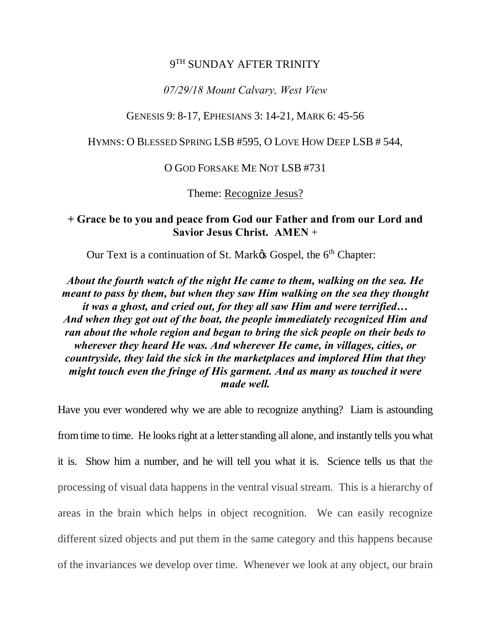### 9<sup>TH</sup> SUNDAY AFTER TRINITY

### *07/29/18 Mount Calvary, West View*

### GENESIS 9: 8-17, EPHESIANS 3: 14-21, MARK 6: 45-56

HYMNS: O BLESSED SPRING LSB #595, O LOVE HOW DEEP LSB # 544,

#### O GOD FORSAKE ME NOT LSB #731

Theme: Recognize Jesus?

## **+ Grace be to you and peace from God our Father and from our Lord and Savior Jesus Christ. AMEN** +

Our Text is a continuation of St. Market Gospel, the 6<sup>th</sup> Chapter:

*About the fourth watch of the night He came to them, walking on the sea. He meant to pass by them, but when they saw Him walking on the sea they thought it was a ghost, and cried out, for they all saw Him and were terrified… And when they got out of the boat, the people immediately recognized Him and ran about the whole region and began to bring the sick people on their beds to wherever they heard He was. And wherever He came, in villages, cities, or countryside, they laid the sick in the marketplaces and implored Him that they might touch even the fringe of His garment. And as many as touched it were made well.*

Have you ever wondered why we are able to recognize anything? Liam is astounding from time to time. He looks right at a letter standing all alone, and instantly tells you what it is. Show him a number, and he will tell you what it is. Science tells us that the processing of visual data happens in the ventral visual stream. This is a hierarchy of areas in the brain which helps in object recognition. We can easily recognize different sized objects and put them in the same category and this happens because of the invariances we develop over time. Whenever we look at any object, our brain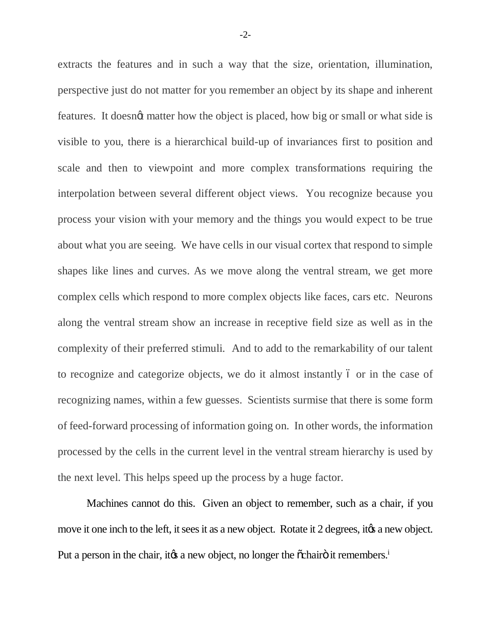extracts the features and in such a way that the size, orientation, illumination, perspective just do not matter for you remember an object by its shape and inherent features. It doesnot matter how the object is placed, how big or small or what side is visible to you, there is a hierarchical build-up of invariances first to position and scale and then to viewpoint and more complex transformations requiring the interpolation between several different object views. You recognize because you process your vision with your memory and the things you would expect to be true about what you are seeing. We have cells in our visual cortex that respond to simple shapes like lines and curves. As we move along the ventral stream, we get more complex cells which respond to more complex objects like faces, cars etc. Neurons along the ventral stream show an increase in receptive field size as well as in the complexity of their preferred stimuli. And to add to the remarkability of our talent to recognize and categorize objects, we do it almost instantly 6 or in the case of recognizing names, within a few guesses. Scientists surmise that there is some form of feed-forward processing of information going on. In other words, the information processed by the cells in the current level in the ventral stream hierarchy is used by the next level. This helps speed up the process by a huge factor.

Machines cannot do this. Given an object to remember, such as a chair, if you move it one inch to the left, it sees it as a new object. Rotate it 2 degrees, it to a new object. Put a person in the chair, it to a new object, no longer the  $\tilde{o}$ chairo it remembers.<sup>1</sup>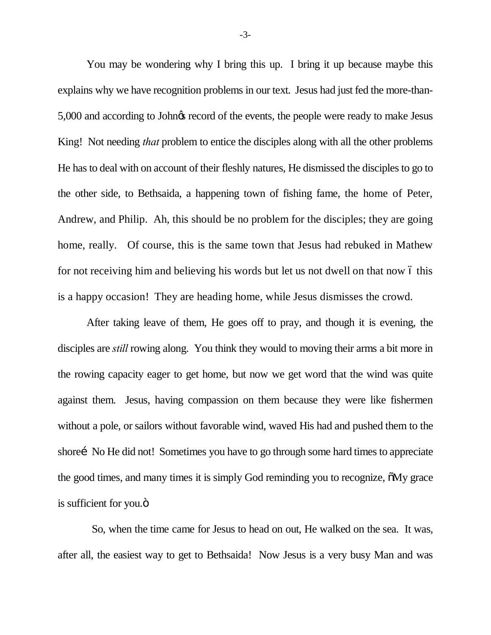You may be wondering why I bring this up. I bring it up because maybe this explains why we have recognition problems in our text. Jesus had just fed the more-than-5,000 and according to John $\alpha$  record of the events, the people were ready to make Jesus King! Not needing *that* problem to entice the disciples along with all the other problems He has to deal with on account of their fleshly natures, He dismissed the disciples to go to the other side, to Bethsaida, a happening town of fishing fame, the home of Peter, Andrew, and Philip. Ah, this should be no problem for the disciples; they are going home, really. Of course, this is the same town that Jesus had rebuked in Mathew for not receiving him and believing his words but let us not dwell on that now 6 this is a happy occasion! They are heading home, while Jesus dismisses the crowd.

After taking leave of them, He goes off to pray, and though it is evening, the disciples are *still* rowing along. You think they would to moving their arms a bit more in the rowing capacity eager to get home, but now we get word that the wind was quite against them. Jesus, having compassion on them because they were like fishermen without a pole, or sailors without favorable wind, waved His had and pushed them to the shore i No He did not! Sometimes you have to go through some hard times to appreciate the good times, and many times it is simply God reminding you to recognize,  $\delta Mv$  grace is sufficient for you.<sup>"</sup>

 So, when the time came for Jesus to head on out, He walked on the sea. It was, after all, the easiest way to get to Bethsaida! Now Jesus is a very busy Man and was

-3-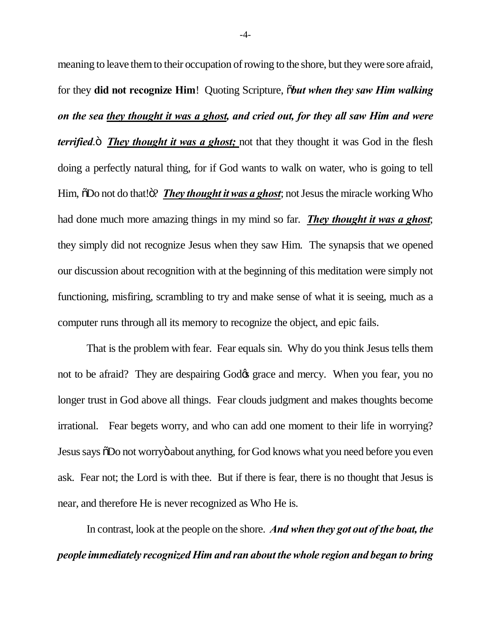meaning to leave them to their occupation of rowing to the shore, but they were sore afraid, for they **did not recognize Him**! Quoting Scripture, "*but when they saw Him walking on the sea they thought it was a ghost, and cried out, for they all saw Him and were terrified*. *They thought it was a ghost;* not that they thought it was God in the flesh doing a perfectly natural thing, for if God wants to walk on water, who is going to tell Him,  $\delta$ Do not do that! $\delta$ ? *They thought it was a ghost*; not Jesus the miracle working Who had done much more amazing things in my mind so far. *They thought it was a ghost*; they simply did not recognize Jesus when they saw Him. The synapsis that we opened our discussion about recognition with at the beginning of this meditation were simply not functioning, misfiring, scrambling to try and make sense of what it is seeing, much as a computer runs through all its memory to recognize the object, and epic fails.

That is the problem with fear. Fear equals sin. Why do you think Jesus tells them not to be afraid? They are despairing God $\alpha$  grace and mercy. When you fear, you no longer trust in God above all things. Fear clouds judgment and makes thoughts become irrational. Fear begets worry, and who can add one moment to their life in worrying? Jesus says  $\delta$ Do not worry $\ddot{\text{o}}$  about anything, for God knows what you need before you even ask. Fear not; the Lord is with thee. But if there is fear, there is no thought that Jesus is near, and therefore He is never recognized as Who He is.

In contrast, look at the people on the shore. *And when they got out of the boat, the people immediately recognized Him and ran about the whole region and began to bring*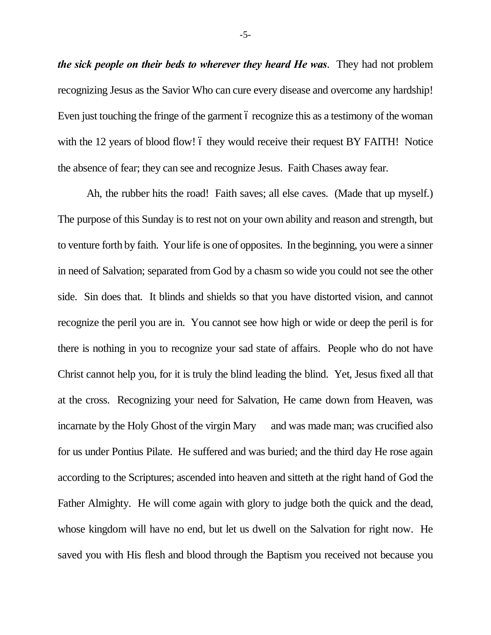*the sick people on their beds to wherever they heard He was*. They had not problem recognizing Jesus as the Savior Who can cure every disease and overcome any hardship! Even just touching the fringe of the garment 6 recognize this as a testimony of the woman with the  $12$  years of blood flow! 6 they would receive their request BY FAITH! Notice the absence of fear; they can see and recognize Jesus. Faith Chases away fear.

Ah, the rubber hits the road! Faith saves; all else caves. (Made that up myself.) The purpose of this Sunday is to rest not on your own ability and reason and strength, but to venture forth by faith. Your life is one of opposites. In the beginning, you were a sinner in need of Salvation; separated from God by a chasm so wide you could not see the other side. Sin does that. It blinds and shields so that you have distorted vision, and cannot recognize the peril you are in. You cannot see how high or wide or deep the peril is for there is nothing in you to recognize your sad state of affairs. People who do not have Christ cannot help you, for it is truly the blind leading the blind. Yet, Jesus fixed all that at the cross. Recognizing your need for Salvation, He came down from Heaven, was incarnate by the Holy Ghost of the virgin Mary and was made man; was crucified also for us under Pontius Pilate. He suffered and was buried; and the third day He rose again according to the Scriptures; ascended into heaven and sitteth at the right hand of God the Father Almighty. He will come again with glory to judge both the quick and the dead, whose kingdom will have no end, but let us dwell on the Salvation for right now. He saved you with His flesh and blood through the Baptism you received not because you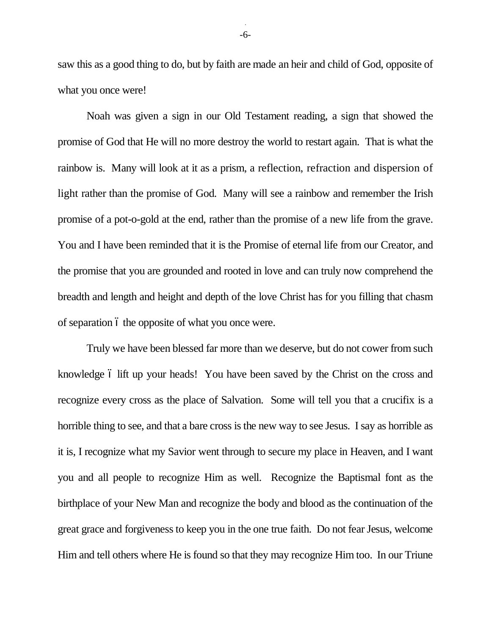saw this as a good thing to do, but by faith are made an heir and child of God, opposite of what you once were!

Noah was given a sign in our Old Testament reading, a sign that showed the promise of God that He will no more destroy the world to restart again. That is what the rainbow is. Many will look at it as a prism, a reflection, refraction and dispersion of light rather than the promise of God. Many will see a rainbow and remember the Irish promise of a pot-o-gold at the end, rather than the promise of a new life from the grave. You and I have been reminded that it is the Promise of eternal life from our Creator, and the promise that you are grounded and rooted in love and can truly now comprehend the breadth and length and height and depth of the love Christ has for you filling that chasm of separation  $\acute{o}$  the opposite of what you once were.

Truly we have been blessed far more than we deserve, but do not cower from such knowledge 6 lift up your heads! You have been saved by the Christ on the cross and recognize every cross as the place of Salvation. Some will tell you that a crucifix is a horrible thing to see, and that a bare cross is the new way to see Jesus. I say as horrible as it is, I recognize what my Savior went through to secure my place in Heaven, and I want you and all people to recognize Him as well. Recognize the Baptismal font as the birthplace of your New Man and recognize the body and blood as the continuation of the great grace and forgiveness to keep you in the one true faith. Do not fear Jesus, welcome Him and tell others where He is found so that they may recognize Him too. In our Triune